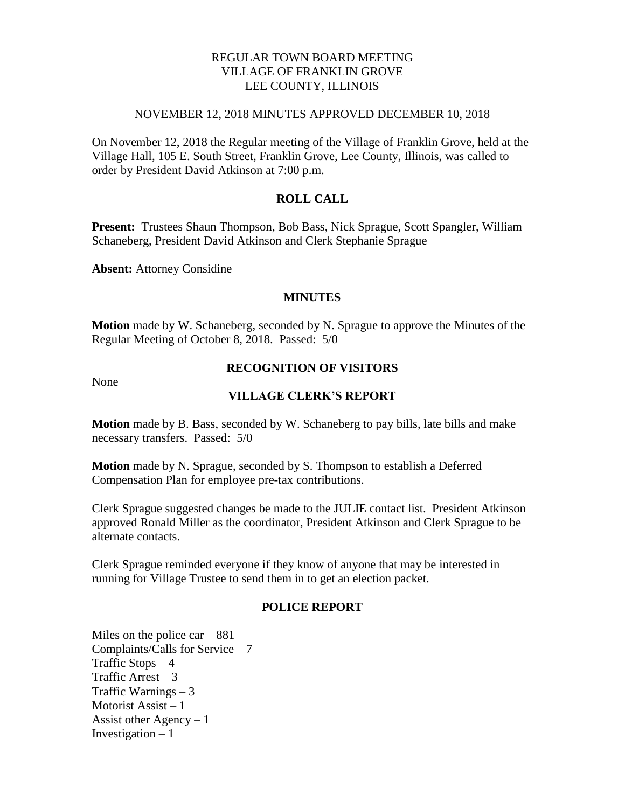# REGULAR TOWN BOARD MEETING VILLAGE OF FRANKLIN GROVE LEE COUNTY, ILLINOIS

### NOVEMBER 12, 2018 MINUTES APPROVED DECEMBER 10, 2018

On November 12, 2018 the Regular meeting of the Village of Franklin Grove, held at the Village Hall, 105 E. South Street, Franklin Grove, Lee County, Illinois, was called to order by President David Atkinson at 7:00 p.m.

## **ROLL CALL**

**Present:** Trustees Shaun Thompson, Bob Bass, Nick Sprague, Scott Spangler, William Schaneberg, President David Atkinson and Clerk Stephanie Sprague

**Absent:** Attorney Considine

#### **MINUTES**

**Motion** made by W. Schaneberg, seconded by N. Sprague to approve the Minutes of the Regular Meeting of October 8, 2018. Passed: 5/0

None

# **RECOGNITION OF VISITORS**

## **VILLAGE CLERK'S REPORT**

**Motion** made by B. Bass, seconded by W. Schaneberg to pay bills, late bills and make necessary transfers. Passed: 5/0

**Motion** made by N. Sprague, seconded by S. Thompson to establish a Deferred Compensation Plan for employee pre-tax contributions.

Clerk Sprague suggested changes be made to the JULIE contact list. President Atkinson approved Ronald Miller as the coordinator, President Atkinson and Clerk Sprague to be alternate contacts.

Clerk Sprague reminded everyone if they know of anyone that may be interested in running for Village Trustee to send them in to get an election packet.

### **POLICE REPORT**

Miles on the police  $car - 881$ Complaints/Calls for Service – 7 Traffic Stops  $-4$ Traffic Arrest  $-3$ Traffic Warnings – 3 Motorist Assist – 1 Assist other Agency  $-1$ Investigation  $-1$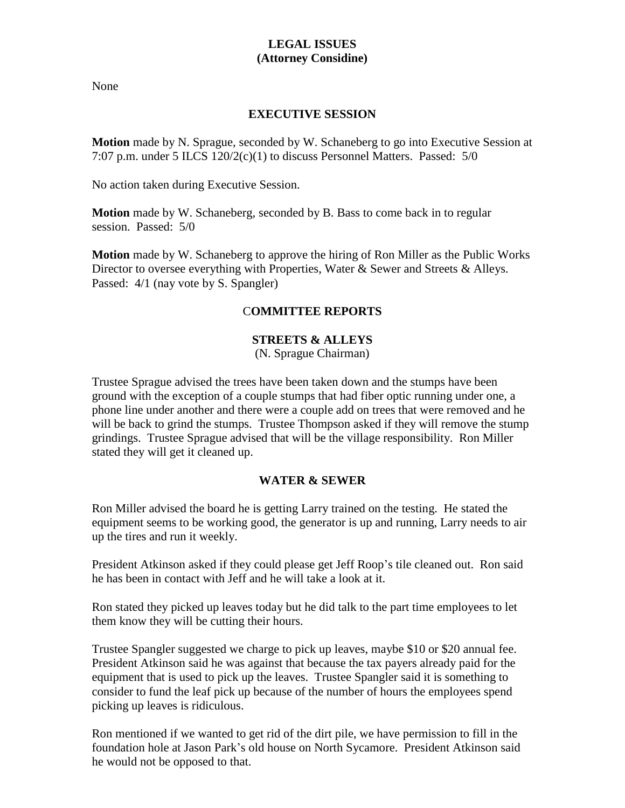# **LEGAL ISSUES (Attorney Considine)**

None

# **EXECUTIVE SESSION**

**Motion** made by N. Sprague, seconded by W. Schaneberg to go into Executive Session at 7:07 p.m. under 5 ILCS 120/2(c)(1) to discuss Personnel Matters. Passed: 5/0

No action taken during Executive Session.

**Motion** made by W. Schaneberg, seconded by B. Bass to come back in to regular session. Passed: 5/0

**Motion** made by W. Schaneberg to approve the hiring of Ron Miller as the Public Works Director to oversee everything with Properties, Water & Sewer and Streets & Alleys. Passed:  $4/1$  (nay vote by S. Spangler)

# C**OMMITTEE REPORTS**

# **STREETS & ALLEYS**

(N. Sprague Chairman)

Trustee Sprague advised the trees have been taken down and the stumps have been ground with the exception of a couple stumps that had fiber optic running under one, a phone line under another and there were a couple add on trees that were removed and he will be back to grind the stumps. Trustee Thompson asked if they will remove the stump grindings. Trustee Sprague advised that will be the village responsibility. Ron Miller stated they will get it cleaned up.

# **WATER & SEWER**

Ron Miller advised the board he is getting Larry trained on the testing. He stated the equipment seems to be working good, the generator is up and running, Larry needs to air up the tires and run it weekly.

President Atkinson asked if they could please get Jeff Roop's tile cleaned out. Ron said he has been in contact with Jeff and he will take a look at it.

Ron stated they picked up leaves today but he did talk to the part time employees to let them know they will be cutting their hours.

Trustee Spangler suggested we charge to pick up leaves, maybe \$10 or \$20 annual fee. President Atkinson said he was against that because the tax payers already paid for the equipment that is used to pick up the leaves. Trustee Spangler said it is something to consider to fund the leaf pick up because of the number of hours the employees spend picking up leaves is ridiculous.

Ron mentioned if we wanted to get rid of the dirt pile, we have permission to fill in the foundation hole at Jason Park's old house on North Sycamore. President Atkinson said he would not be opposed to that.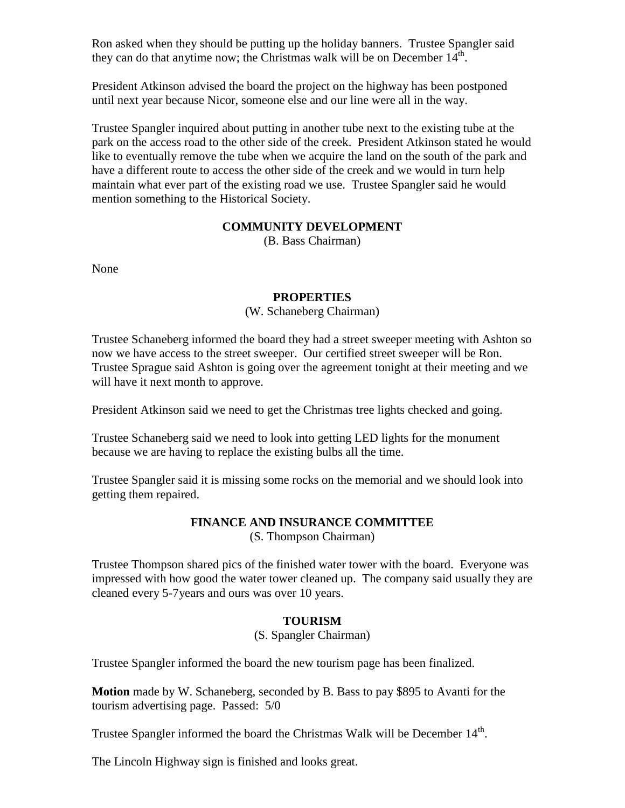Ron asked when they should be putting up the holiday banners. Trustee Spangler said they can do that anytime now; the Christmas walk will be on December  $14^{\text{th}}$ .

President Atkinson advised the board the project on the highway has been postponed until next year because Nicor, someone else and our line were all in the way.

Trustee Spangler inquired about putting in another tube next to the existing tube at the park on the access road to the other side of the creek. President Atkinson stated he would like to eventually remove the tube when we acquire the land on the south of the park and have a different route to access the other side of the creek and we would in turn help maintain what ever part of the existing road we use. Trustee Spangler said he would mention something to the Historical Society.

# **COMMUNITY DEVELOPMENT**

(B. Bass Chairman)

None

# **PROPERTIES**

## (W. Schaneberg Chairman)

Trustee Schaneberg informed the board they had a street sweeper meeting with Ashton so now we have access to the street sweeper. Our certified street sweeper will be Ron. Trustee Sprague said Ashton is going over the agreement tonight at their meeting and we will have it next month to approve.

President Atkinson said we need to get the Christmas tree lights checked and going.

Trustee Schaneberg said we need to look into getting LED lights for the monument because we are having to replace the existing bulbs all the time.

Trustee Spangler said it is missing some rocks on the memorial and we should look into getting them repaired.

# **FINANCE AND INSURANCE COMMITTEE**

(S. Thompson Chairman)

Trustee Thompson shared pics of the finished water tower with the board. Everyone was impressed with how good the water tower cleaned up. The company said usually they are cleaned every 5-7years and ours was over 10 years.

# **TOURISM**

# (S. Spangler Chairman)

Trustee Spangler informed the board the new tourism page has been finalized.

**Motion** made by W. Schaneberg, seconded by B. Bass to pay \$895 to Avanti for the tourism advertising page. Passed: 5/0

Trustee Spangler informed the board the Christmas Walk will be December 14<sup>th</sup>.

The Lincoln Highway sign is finished and looks great.